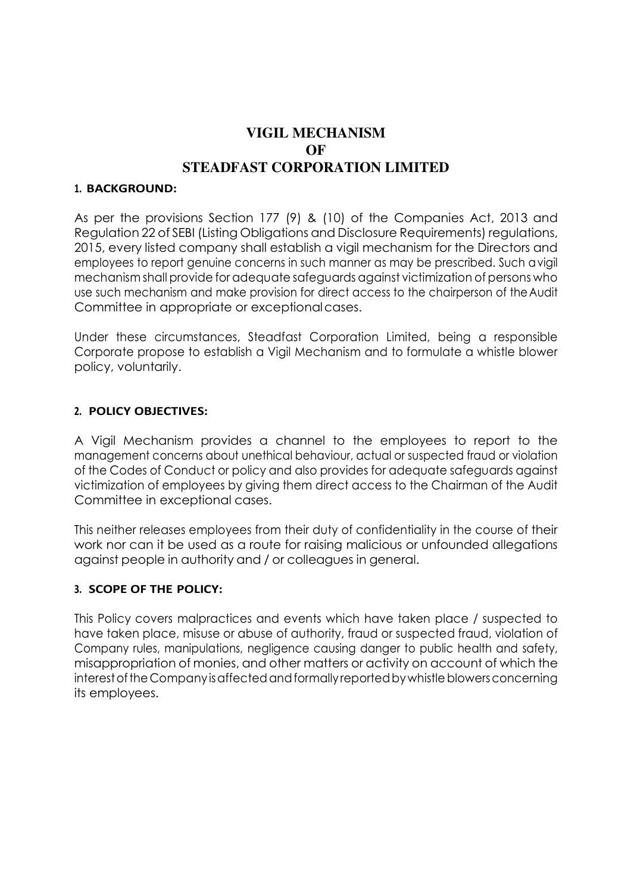# **VIGIL MECHANISM OF STEADFAST CORPORATION LIMITED**

#### **1. BACKGROUND:**

As per the provisions Section 177 (9) & (10) of the Companies Act, 2013 and Regulation 22 of SEBI (Listing Obligations and Disclosure Requirements) regulations, 2015, every listed company shall establish a vigil mechanism for the Directors and employees to report genuine concerns in such manner as may be prescribed. Such a vigil mechanism shall provide for adequate safeguards against victimization of persons who use such mechanism and make provision for direct access to the chairperson of the Audit Committee in appropriate or exceptional cases.

Under these circumstances, Steadfast Corporation Limited, being a responsible Corporate propose to establish a Vigil Mechanism and to formulate a whistle blower policy, voluntarily.

#### **2. POLICY OBJECTIVES:**

A Vigil Mechanism provides a channel to the employees to report to the management concerns about unethical behaviour, actual or suspected fraud or violation of the Codes of Conduct or policy and also provides for adequate safeguards against victimization of employees by giving them direct access to the Chairman of the Audit Committee in exceptional cases.

This neither releases employees from their duty of confidentiality in the course of their work nor can it be used as a route for raising malicious or unfounded allegations against people in authority and / or colleagues in general.

### **3. SCOPE OF THE POLICY:**

This Policy covers malpractices and events which have taken place / suspected to have taken place, misuse or abuse of authority, fraud or suspected fraud, violation of Company rules, manipulations, negligence causing danger to public health and safety, misappropriation of monies, and other matters or activity on account of which the interest of the Company is affected and formally reported by whistle blowers concerning its employees.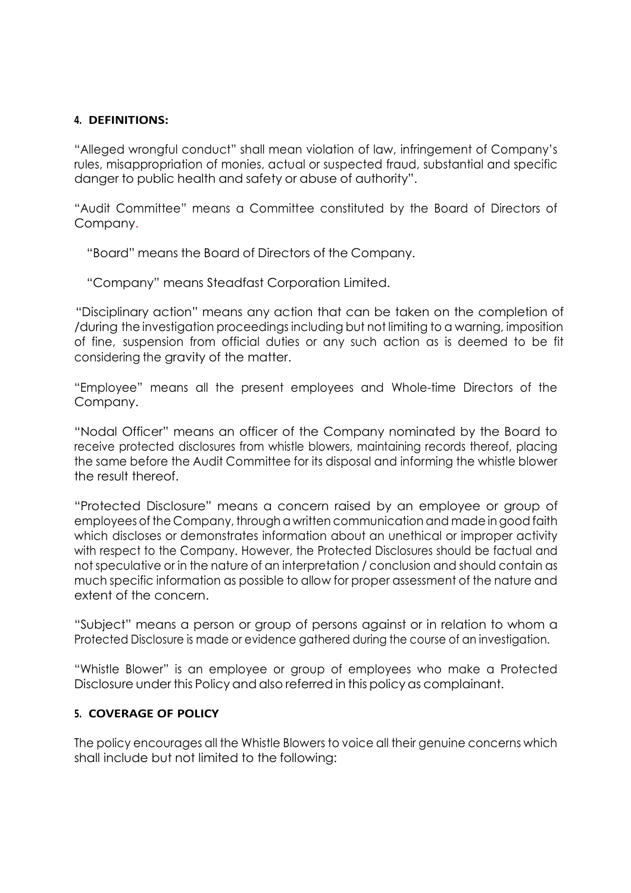#### **4. DEFINITIONS:**

"Alleged wrongful conduct" shall mean violation of law, infringement of Company's rules, misappropriation of monies, actual or suspected fraud, substantial and specific danger to public health and safety or abuse of authority".

"Audit Committee" means a Committee constituted by the Board of Directors of Company.

"Board" means the Board of Directors of the Company.

"Company" means Steadfast Corporation Limited.

 "Disciplinary action" means any action that can be taken on the completion of /during the investigation proceedings including but not limiting to a warning, imposition of fine, suspension from official duties or any such action as is deemed to be fit considering the gravity of the matter.

"Employee" means all the present employees and Whole-time Directors of the Company.

"Nodal Officer" means an officer of the Company nominated by the Board to receive protected disclosures from whistle blowers, maintaining records thereof, placing the same before the Audit Committee for its disposal and informing the whistle blower the result thereof.

"Protected Disclosure" means a concern raised by an employee or group of employees of the Company, through a written communication and made in good faith which discloses or demonstrates information about an unethical or improper activity with respect to the Company. However, the Protected Disclosures should be factual and not speculative or in the nature of an interpretation / conclusion and should contain as much specific information as possible to allow for proper assessment of the nature and extent of the concern.

"Subject" means a person or group of persons against or in relation to whom a Protected Disclosure is made or evidence gathered during the course of an investigation.

"Whistle Blower" is an employee or group of employees who make a Protected Disclosure under this Policy and also referred in this policy as complainant.

### **5. COVERAGE OF POLICY**

The policy encourages all the Whistle Blowers to voice all their genuine concerns which shall include but not limited to the following: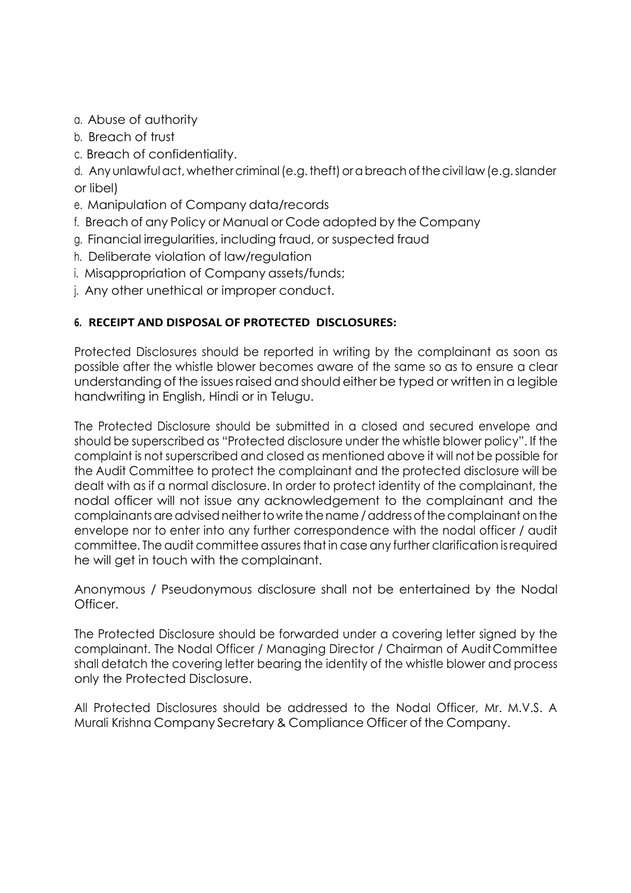- a. Abuse of authority
- b. Breach of trust
- c. Breach of confidentiality.

d. Any unlawful act, whether criminal (e.g. theft) or a breach of the civil law (e.g. slander or libel)

- e. Manipulation of Company data/records
- f. Breach of any Policy or Manual or Code adopted by the Company
- g. Financial irregularities, including fraud, or suspected fraud
- h. Deliberate violation of law/regulation
- i. Misappropriation of Company assets/funds;
- j. Any other unethical or improper conduct.

# **6. RECEIPT AND DISPOSAL OF PROTECTED DISCLOSURES:**

Protected Disclosures should be reported in writing by the complainant as soon as possible after the whistle blower becomes aware of the same so as to ensure a clear understanding of the issues raised and should either be typed or written in a legible handwriting in English, Hindi or in Telugu.

The Protected Disclosure should be submitted in a closed and secured envelope and should be superscribed as "Protected disclosure under the whistle blower policy". If the complaint is not superscribed and closed as mentioned above it will not be possible for the Audit Committee to protect the complainant and the protected disclosure will be dealt with as if a normal disclosure. In order to protect identity of the complainant, the nodal officer will not issue any acknowledgement to the complainant and the complainants are advised neither to write the name / address of the complainant on the envelope nor to enter into any further correspondence with the nodal officer / audit committee. The audit committee assures that in case any further clarification is required he will get in touch with the complainant.

Anonymous / Pseudonymous disclosure shall not be entertained by the Nodal Officer.

The Protected Disclosure should be forwarded under a covering letter signed by the complainant. The Nodal Officer / Managing Director / Chairman of Audit Committee shall detatch the covering letter bearing the identity of the whistle blower and process only the Protected Disclosure.

All Protected Disclosures should be addressed to the Nodal Officer, Mr. M.V.S. A Murali Krishna Company Secretary & Compliance Officer of the Company.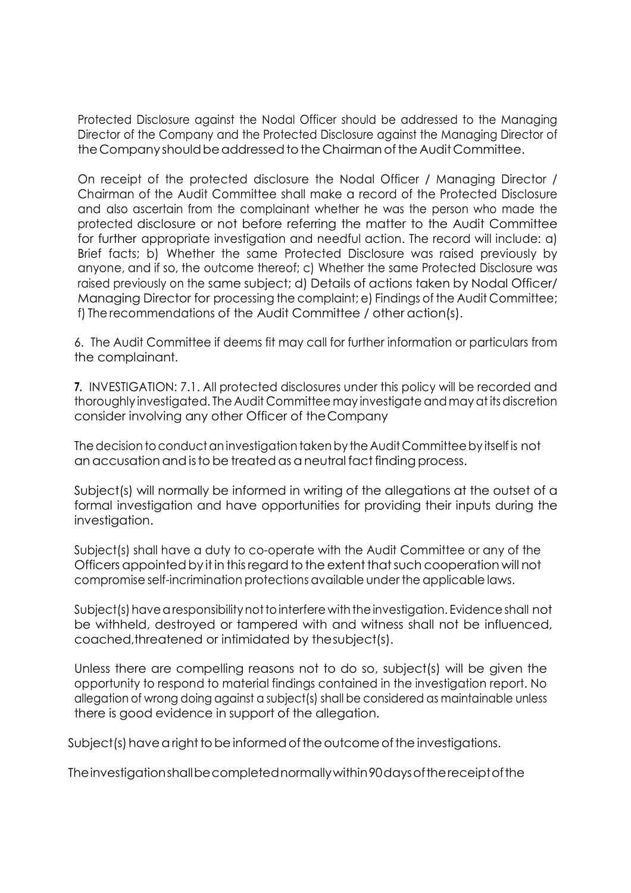Protected Disclosure against the Nodal Officer should be addressed to the Managing Director of the Company and the Protected Disclosure against the Managing Director of the Company should be addressed to the Chairman of the Audit Committee.

On receipt of the protected disclosure the Nodal Officer / Managing Director / Chairman of the Audit Committee shall make a record of the Protected Disclosure and also ascertain from the complainant whether he was the person who made the protected disclosure or not before referring the matter to the Audit Committee for further appropriate investigation and needful action. The record will include: a) Brief facts; b) Whether the same Protected Disclosure was raised previously by anyone, and if so, the outcome thereof; c) Whether the same Protected Disclosure was raised previously on the same subject; d) Details of actions taken by Nodal Officer/ Managing Director for processing the complaint; e) Findings of the Audit Committee; f) The recommendations of the Audit Committee / other action(s).

6. The Audit Committee if deems fit may call for further information or particulars from the complainant.

**7.** INVESTIGATION: 7.1. All protected disclosures under this policy will be recorded and thoroughly investigated. The Audit Committee may investigate and may at its discretion consider involving any other Officer of the Company

The decision to conduct an investigation taken by the Audit Committee by itself is not an accusation and is to be treated as a neutral fact finding process.

Subject(s) will normally be informed in writing of the allegations at the outset of a formal investigation and have opportunities for providing their inputs during the investigation.

Subject(s) shall have a duty to co-operate with the Audit Committee or any of the Officers appointed by it in this regard to the extent that such cooperation will not compromise self-incrimination protections available under the applicable laws.

Subject(s) have a responsibility not to interfere with the investigation. Evidence shall not be withheld, destroyed or tampered with and witness shall not be influenced, coached,threatened or intimidated by the subject(s).

Unless there are compelling reasons not to do so, subject(s) will be given the opportunity to respond to material findings contained in the investigation report. No allegation of wrong doing against a subject(s) shall be considered as maintainable unless there is good evidence in support of the allegation.

Subject(s) have a right to be informed of the outcome of the investigations.

The investigation shall be completed normally within 90 days of the receipt of the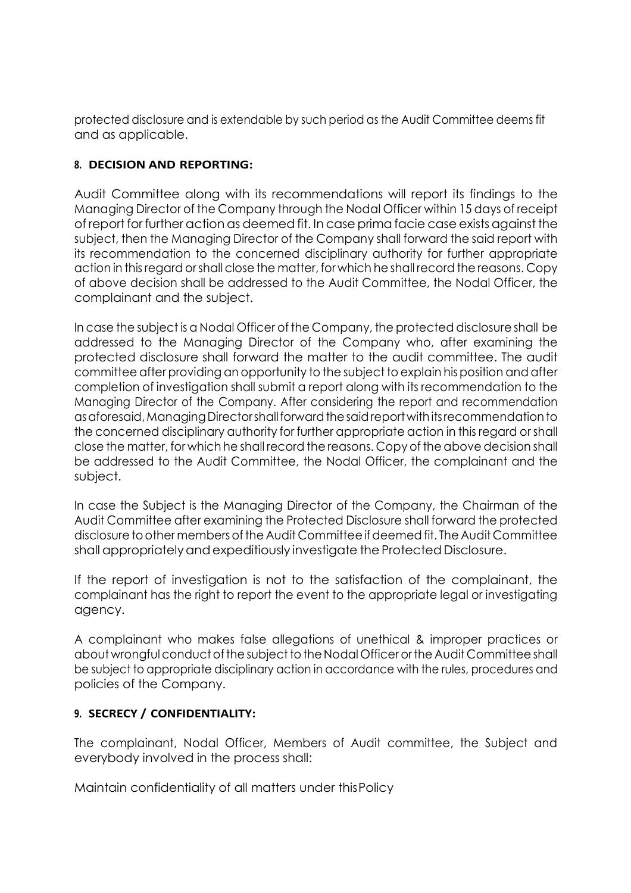protected disclosure and is extendable by such period as the Audit Committee deems fit and as applicable.

## **8. DECISION AND REPORTING:**

Audit Committee along with its recommendations will report its findings to the Managing Director of the Company through the Nodal Officer within 15 days of receipt of report for further action as deemed fit. In case prima facie case exists against the subject, then the Managing Director of the Company shall forward the said report with its recommendation to the concerned disciplinary authority for further appropriate action in this regard or shall close the matter, for which he shall record the reasons. Copy of above decision shall be addressed to the Audit Committee, the Nodal Officer, the complainant and the subject.

In case the subject is a Nodal Officer of the Company, the protected disclosure shall be addressed to the Managing Director of the Company who, after examining the protected disclosure shall forward the matter to the audit committee. The audit committee after providing an opportunity to the subject to explain his position and after completion of investigation shall submit a report along with its recommendation to the Managing Director of the Company. After considering the report and recommendation as aforesaid, Managing Director shall forward the said report with its recommendation to the concerned disciplinary authority for further appropriate action in this regard or shall close the matter, for which he shall record the reasons. Copy of the above decision shall be addressed to the Audit Committee, the Nodal Officer, the complainant and the subject.

In case the Subject is the Managing Director of the Company, the Chairman of the Audit Committee after examining the Protected Disclosure shall forward the protected disclosure to other members of the Audit Committee if deemed fit. The Audit Committee shall appropriately and expeditiously investigate the Protected Disclosure.

If the report of investigation is not to the satisfaction of the complainant, the complainant has the right to report the event to the appropriate legal or investigating agency.

A complainant who makes false allegations of unethical & improper practices or about wrongful conduct of the subject to the Nodal Officer or the Audit Committee shall be subject to appropriate disciplinary action in accordance with the rules, procedures and policies of the Company.

# **9. SECRECY / CONFIDENTIALITY:**

The complainant, Nodal Officer, Members of Audit committee, the Subject and everybody involved in the process shall:

Maintain confidentiality of all matters under this Policy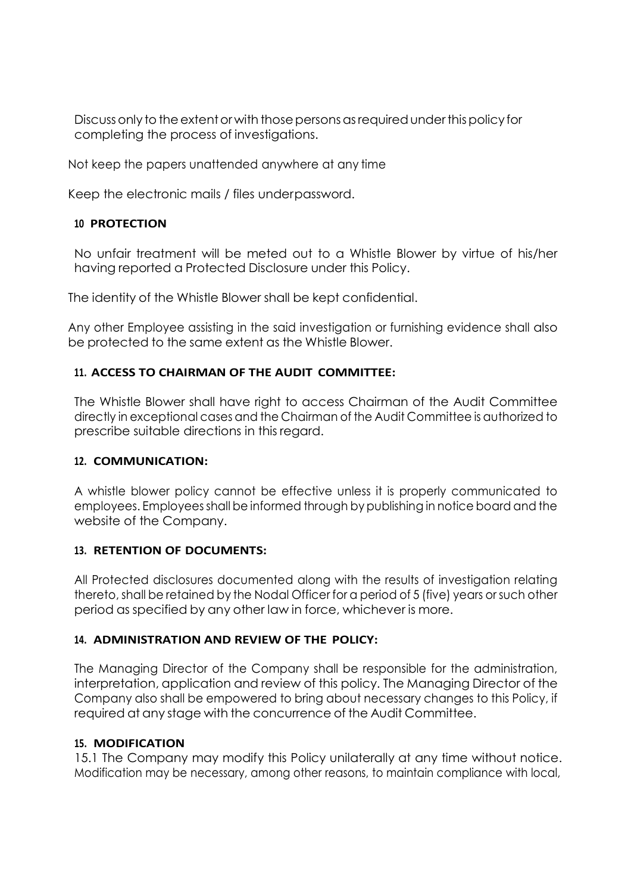Discuss only to the extent or with those persons as required under this policy for completing the process of investigations.

Not keep the papers unattended anywhere at any time

Keep the electronic mails / files under password.

### **<sup>10</sup> PROTECTION**

No unfair treatment will be meted out to a Whistle Blower by virtue of his/her having reported a Protected Disclosure under this Policy.

The identity of the Whistle Blower shall be kept confidential.

Any other Employee assisting in the said investigation or furnishing evidence shall also be protected to the same extent as the Whistle Blower.

### **11. ACCESS TO CHAIRMAN OF THE AUDIT COMMITTEE:**

The Whistle Blower shall have right to access Chairman of the Audit Committee directly in exceptional cases and the Chairman of the Audit Committee is authorized to prescribe suitable directions in this regard.

### **12. COMMUNICATION:**

A whistle blower policy cannot be effective unless it is properly communicated to employees. Employees shall be informed through by publishing in notice board and the website of the Company.

### **13. RETENTION OF DOCUMENTS:**

All Protected disclosures documented along with the results of investigation relating thereto, shall be retained by the Nodal Officer for a period of 5 (five) years or such other period as specified by any other law in force, whichever is more.

### **14. ADMINISTRATION AND REVIEW OF THE POLICY:**

The Managing Director of the Company shall be responsible for the administration, interpretation, application and review of this policy. The Managing Director of the Company also shall be empowered to bring about necessary changes to this Policy, if required at any stage with the concurrence of the Audit Committee.

### **15. MODIFICATION**

15.1 The Company may modify this Policy unilaterally at any time without notice. Modification may be necessary, among other reasons, to maintain compliance with local,